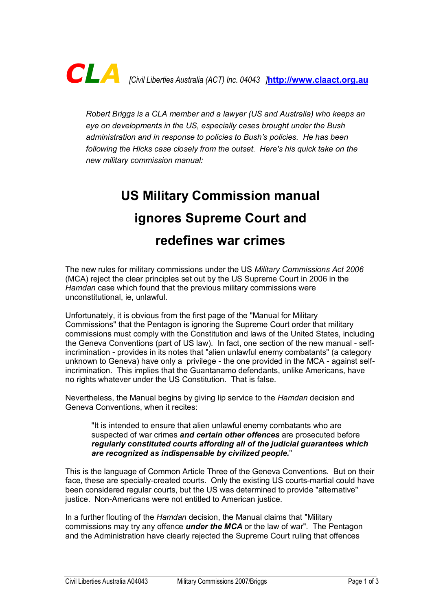

*Robert Briggs is a CLA member and a lawyer (US and Australia) who keeps an eye on developments in the US, especially cases brought under the Bush administration and in response to policies to Bush's policies. He has been following the Hicks case closely from the outset. Here's his quick take on the new military commission manual:*

## **US Military Commission manual ignores Supreme Court and redefines war crimes**

The new rules for military commissions under the US *Military Commissions Act 2006* (MCA) reject the clear principles set out by the US Supreme Court in 2006 in the *Hamdan* case which found that the previous military commissions were unconstitutional, ie, unlawful.

Unfortunately, it is obvious from the first page of the "Manual for Military Commissions" that the Pentagon is ignoring the Supreme Court order that military commissions must comply with the Constitution and laws of the United States, including the Geneva Conventions (part of US law). In fact, one section of the new manual - selfincrimination - provides in its notes that "alien unlawful enemy combatants" (a category unknown to Geneva) have only a privilege - the one provided in the MCA - against selfincrimination. This implies that the Guantanamo defendants, unlike Americans, have no rights whatever under the US Constitution. That is false.

Nevertheless, the Manual begins by giving lip service to the *Hamdan* decision and Geneva Conventions, when it recites:

"It is intended to ensure that alien unlawful enemy combatants who are suspected of war crimes *and certain other offences* are prosecuted before *regularly constituted courts affording all of the judicial guarantees which are recognized as indispensable by civilized people.*"

This is the language of Common Article Three of the Geneva Conventions. But on their face, these are specially-created courts. Only the existing US courts-martial could have been considered regular courts, but the US was determined to provide "alternative" justice. Non-Americans were not entitled to American justice.

In a further flouting of the *Hamdan* decision, the Manual claims that "Military commissions may try any offence *under the MCA* or the law of war". The Pentagon and the Administration have clearly rejected the Supreme Court ruling that offences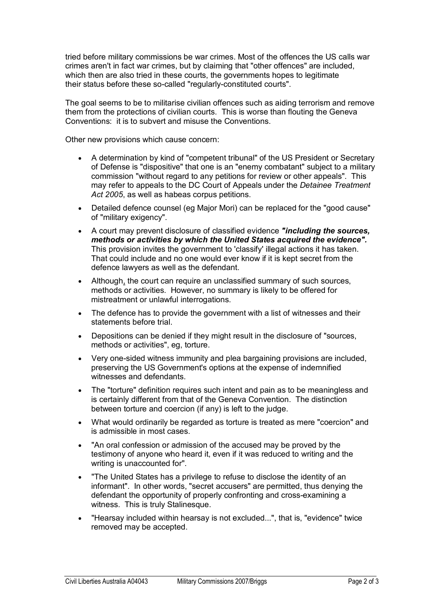tried before military commissions be war crimes. Most of the offences the US calls war crimes aren't in fact war crimes, but by claiming that "other offences" are included, which then are also tried in these courts, the governments hopes to legitimate their status before these so-called "regularly-constituted courts".

The goal seems to be to militarise civilian offences such as aiding terrorism and remove them from the protections of civilian courts. This is worse than flouting the Geneva Conventions: it is to subvert and misuse the Conventions.

Other new provisions which cause concern:

- · A determination by kind of "competent tribunal" of the US President or Secretary of Defense is "dispositive" that one is an "enemy combatant" subject to a military commission "without regard to any petitions for review or other appeals". This may refer to appeals to the DC Court of Appeals under the *Detainee Treatment Act 2005*, as well as habeas corpus petitions.
- · Detailed defence counsel (eg Major Mori) can be replaced for the "good cause" of "military exigency".
- · A court may prevent disclosure of classified evidence *"including the sources, methods or activities by which the United States acquired the evidence".* This provision invites the government to 'classify' illegal actions it has taken. That could include and no one would ever know if it is kept secret from the defence lawyers as well as the defendant.
- Although, the court can require an unclassified summary of such sources, methods or activities. However, no summary is likely to be offered for mistreatment or unlawful interrogations.
- · The defence has to provide the government with a list of witnesses and their statements before trial.
- Depositions can be denied if they might result in the disclosure of "sources, methods or activities", eg, torture.
- · Very onesided witness immunity and plea bargaining provisions are included, preserving the US Government's options at the expense of indemnified witnesses and defendants.
- The "torture" definition requires such intent and pain as to be meaningless and is certainly different from that of the Geneva Convention. The distinction between torture and coercion (if any) is left to the judge.
- · What would ordinarily be regarded as torture is treated as mere "coercion" and is admissible in most cases.
- · "An oral confession or admission of the accused may be proved by the testimony of anyone who heard it, even if it was reduced to writing and the writing is unaccounted for".
- · "The United States has a privilege to refuse to disclose the identity of an informant". In other words, "secret accusers" are permitted, thus denying the defendant the opportunity of properly confronting and cross-examining a witness. This is truly Stalinesque.
- · "Hearsay included within hearsay is not excluded...", that is, "evidence" twice removed may be accepted.